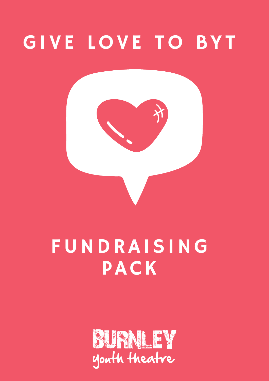

# FUNDRAISING PACK

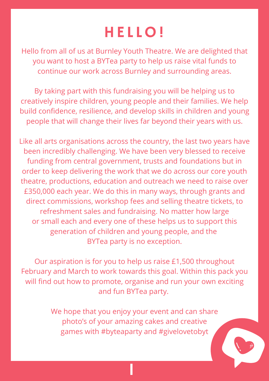## **HELLO!**

Hello from all of us at Burnley Youth Theatre. We are delighted that you want to host a BYTea party to help us raise vital funds to continue our work across Burnley and surrounding areas.

By taking part with this fundraising you will be helping us to creatively inspire children, young people and their families. We help build confidence, resilience, and develop skills in children and young people that will change their lives far beyond their years with us.

> We hope that you enjoy your event and can share photo's of your amazing cakes and creative games with #byteaparty and #givelovetobyt

Like all arts organisations across the country, the last two years have been incredibly challenging. We have been very blessed to receive funding from central government, trusts and foundations but in order to keep delivering the work that we do across our core youth theatre, productions, education and outreach we need to raise over £350,000 each year. We do this in many ways, through grants and direct commissions, workshop fees and selling theatre tickets, to refreshment sales and fundraising. No matter how large or small each and every one of these helps us to support this generation of children and young people, and the BYTea party is no exception.

Our aspiration is for you to help us raise £1,500 throughout February and March to work towards this goal. Within this pack you will find out how to promote, organise and run your own exciting and fun BYTea party.

1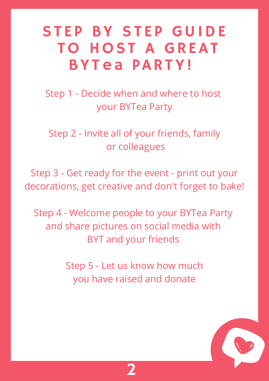## STEP BY STEP GUIDE TO HOST A GREAT BYT ea PARTY!

Step 1 - Decide when and where to host your BYTea Party

Step 2 - Invite all of your friends, family or colleagues

Step 3 - Get ready for the event - print out your decorations, get creative and don't forget to bake!

Step 4 - Welcome people to your BYTea Party and share pictures on social media with BYT and your friends

> Step 5 - Let us know how much you have raised and donate

> > 2

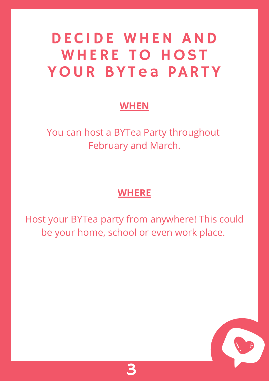# DECIDE W HEN AND WHERE TO HOST YOUR BYTea PARTY

### **WHEN**

## You can host a BYTea Party throughout February and March.



Host your BYTea party from anywhere! This could be your home, school or even work place.

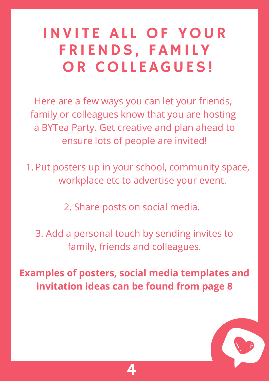# INVITE ALL OF YOUR FRI ENDS, FAMI LY OR COLLEAGUES!

Here are a few ways you can let your friends, family or colleagues know that you are hosting a BYTea Party. Get creative and plan ahead to ensure lots of people are invited!

1. Put posters up in your school, community space, workplace etc to advertise your event.

2. Share posts on social media.

3. Add a personal touch by sending invites to family, friends and colleagues.

**Examples of posters, social media templates and invitation ideas can be found from page 8**

4

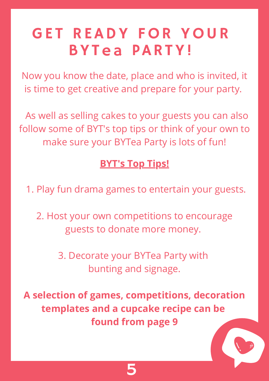# GET READY FOR YOUR BYTea PARTY!

Now you know the date, place and who is invited, it is time to get creative and prepare for your party.

As well as selling cakes to your guests you can also follow some of BYT's top tips or think of your own to make sure your BYTea Party is lots of fun!

### **BYT's Top Tips!**

5

1. Play fun drama games to entertain your guests.

2. Host your own competitions to encourage guests to donate more money.

> 3. Decorate your BYTea Party with bunting and signage.

**A selection of games, competitions, decoration templates and a cupcake recipe can be found from page 9**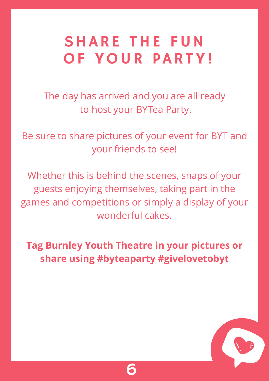# SHARE THE FUN OF YOUR PARTY!

The day has arrived and you are all ready to host your BYTea Party.

Be sure to share pictures of your event for BYT and your friends to see!

Whether this is behind the scenes, snaps of your guests enjoying themselves, taking part in the games and competitions or simply a display of your wonderful cakes.

## **Tag Burnley Youth Theatre in your pictures or share using #byteaparty #givelovetobyt**

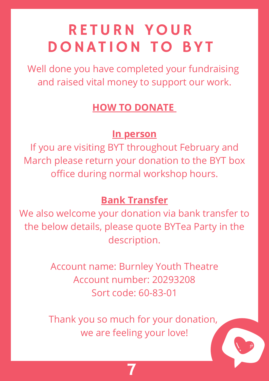## RE TURN YOUR DONAT ION TO BYT

Well done you have completed your fundraising and raised vital money to support our work.

7

### **HOW TO DONATE**

#### **In person**

If you are visiting BYT throughout February and March please return your donation to the BYT box office during normal workshop hours.

#### **Bank Transfer**

## We also welcome your donation via bank transfer to the below details, please quote BYTea Party in the description.

Account name: Burnley Youth Theatre Account number: 20293208 Sort code: 60-83-01

Thank you so much for your donation, we are feeling your love!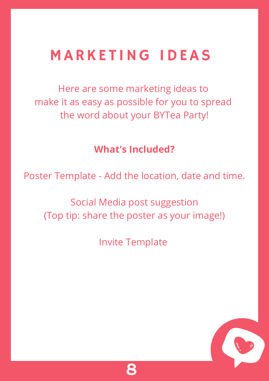## MARKETING IDEAS

Here are some marketing ideas to make it as easy as possible for you to spread the word about your BYTea Party!



### **What's Included?**

Poster Template - Add the location, date and time.

Social Media post suggestion

# (Top tip: share the poster as your image!)

Invite Template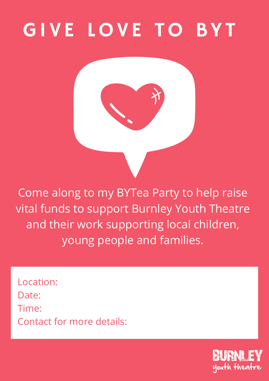

Come along to my BYTea Party to help raise

vital funds to support Burnley Youth Theatre and their work supporting local children, young people and families.

Location: Date: Time: Contact for more details:

> BURNL FY youth theatre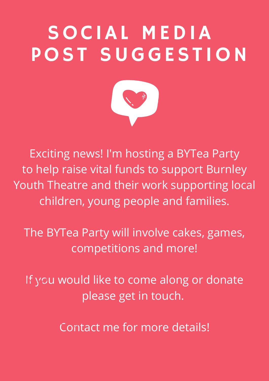# SOCIAL MEDIA POST SUGGESTION



Exciting news! I'm hosting a BYTea Party to help raise vital funds to support Burnley Youth Theatre and their work supporting local children, young people and families.

If you would like to come along or donate please get in touch.

Contact me for more details! What to bring? The bring?

The BYTea Party will involve cakes, games, competitions and more!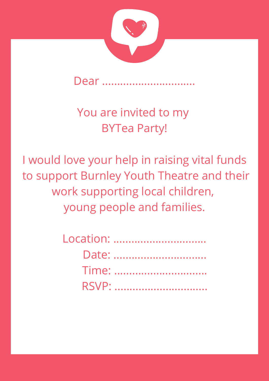

## Dear ................

## You are invited to my BYTea Party!

I would love your help in raising vital funds to support Burnley Youth Theatre and their work supporting local children,

## young people and families.

Location: ............................. Date: .............................. Time: .............................. RSVP: ..............................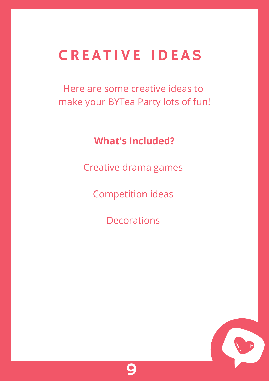## CREAT IVE IDEAS

Here are some creative ideas to make your BYTea Party lots of fun!



**What's Included?**

Creative drama games

Competition ideas

#### Decorations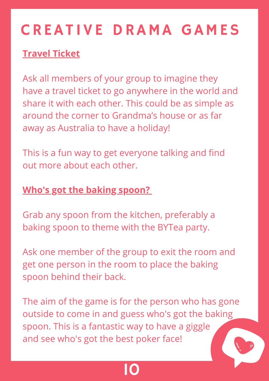# CREAT IVE DRAMA GAMES

10

## **Travel Ticket**

Ask all members of your group to imagine they have a travel ticket to go anywhere in the world and share it with each other. This could be as simple as around the corner to Grandma's house or as far away as Australia to have a holiday!

This is a fun way to get everyone talking and find out more about each other.

## **Who's got the baking spoon?**

Grab any spoon from the kitchen, preferably a baking spoon to theme with the BYTea party.

Ask one member of the group to exit the room and get one person in the room to place the baking spoon behind their back.

The aim of the game is for the person who has gone outside to come in and guess who's got the baking spoon. This is a fantastic way to have a giggle and see who's got the best poker face!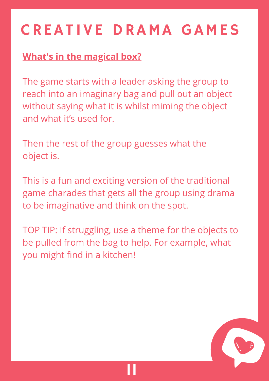# CREAT IVE DRAMA GAMES

11



## **What's in the magical box?**

The game starts with a leader asking the group to reach into an imaginary bag and pull out an object without saying what it is whilst miming the object and what it's used for.

Then the rest of the group guesses what the object is.

This is a fun and exciting version of the traditional game charades that gets all the group using drama to be imaginative and think on the spot.

TOP TIP: If struggling, use a theme for the objects to be pulled from the bag to help. For example, what you might find in a kitchen!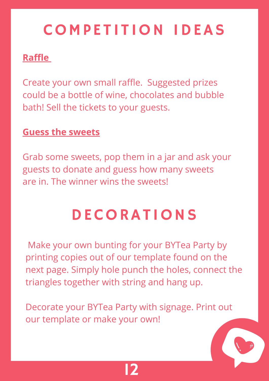

## COMPETITION IDEAS

#### **Raffle**

Create your own small raffle. Suggested prizes could be a bottle of wine, chocolates and bubble bath! Sell the tickets to your guests.

#### **Guess the sweets**

Grab some sweets, pop them in a jar and ask your guests to donate and guess how many sweets are in. The winner wins the sweets!

## DECORAT IONS

Make your own bunting for your BYTea Party by printing copies out of our template found on the next page. Simply hole punch the holes, connect the triangles together with string and hang up.

Decorate your BYTea Party with signage. Print out our template or make your own!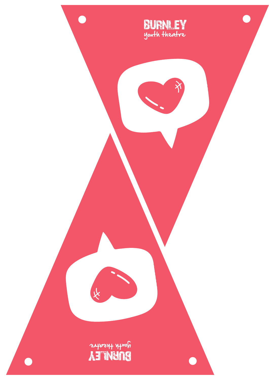

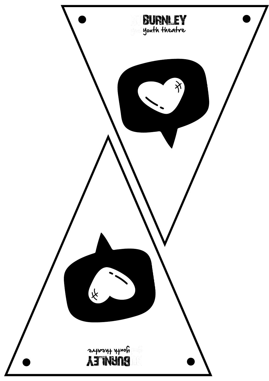

![](_page_17_Picture_1.jpeg)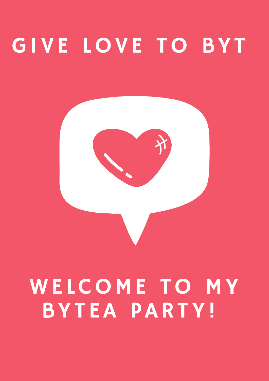![](_page_18_Picture_1.jpeg)

# WELCOME TO MY BYT EA PARTY!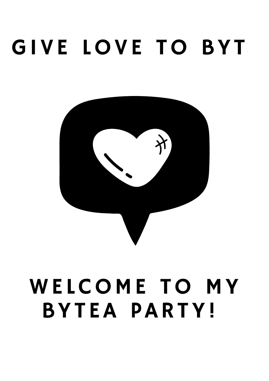![](_page_19_Picture_1.jpeg)

# WELCOME TO MY BYT EA PARTY!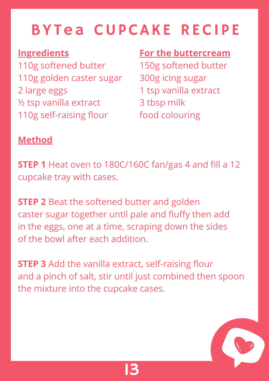![](_page_20_Picture_9.jpeg)

# BYTea CUPCAKE RECIPE

### **Ingredients**

110g softened butter 110g golden caster sugar 2 large eggs ½ tsp vanilla extract 110g self-raising flour

### **Method**

**STEP 1** Heat oven to 180C/160C fan/gas 4 and fill a 12 cupcake tray with cases.

**STEP 2** Beat the softened butter and golden caster sugar together until pale and fluffy then add in the eggs, one at a time, scraping down the sides of the bowl after each addition.

**STEP 3** Add the vanilla extract, self-raising flour and a pinch of salt, stir until just combined then spoon the mixture into the cupcake cases.

### **For the buttercream**

150g softened butter 300g icing sugar 1 tsp vanilla extract 3 tbsp milk food colouring